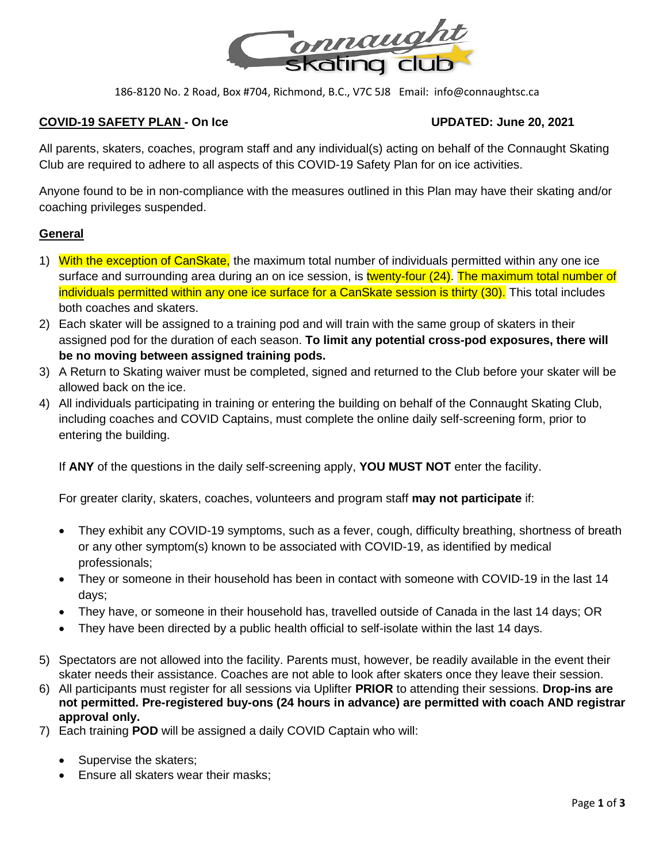

## **COVID-19 SAFETY PLAN - On Ice UPDATED: June 20, 2021**

All parents, skaters, coaches, program staff and any individual(s) acting on behalf of the Connaught Skating Club are required to adhere to all aspects of this COVID-19 Safety Plan for on ice activities.

Anyone found to be in non-compliance with the measures outlined in this Plan may have their skating and/or coaching privileges suspended.

## **General**

- 1) With the exception of CanSkate, the maximum total number of individuals permitted within any one ice surface and surrounding area during an on ice session, is twenty-four (24). The maximum total number of individuals permitted within any one ice surface for a CanSkate session is thirty (30). This total includes both coaches and skaters.
- 2) Each skater will be assigned to a training pod and will train with the same group of skaters in their assigned pod for the duration of each season. **To limit any potential cross-pod exposures, there will be no moving between assigned training pods.**
- 3) A Return to Skating waiver must be completed, signed and returned to the Club before your skater will be allowed back on the ice.
- 4) All individuals participating in training or entering the building on behalf of the Connaught Skating Club, including coaches and COVID Captains, must complete the online daily self-screening form, prior to entering the building.

If **ANY** of the questions in the daily self-screening apply, **YOU MUST NOT** enter the facility.

For greater clarity, skaters, coaches, volunteers and program staff **may not participate** if:

- They exhibit any COVID-19 symptoms, such as a fever, cough, difficulty breathing, shortness of breath or any other symptom(s) known to be associated with COVID-19, as identified by medical professionals;
- They or someone in their household has been in contact with someone with COVID-19 in the last 14 days;
- They have, or someone in their household has, travelled outside of Canada in the last 14 days; OR
- They have been directed by a public health official to self-isolate within the last 14 days.
- 5) Spectators are not allowed into the facility. Parents must, however, be readily available in the event their skater needs their assistance. Coaches are not able to look after skaters once they leave their session.
- 6) All participants must register for all sessions via Uplifter **PRIOR** to attending their sessions. **Drop-ins are not permitted. Pre-registered buy-ons (24 hours in advance) are permitted with coach AND registrar approval only.**
- 7) Each training **POD** will be assigned a daily COVID Captain who will:
	- Supervise the skaters;
	- Ensure all skaters wear their masks;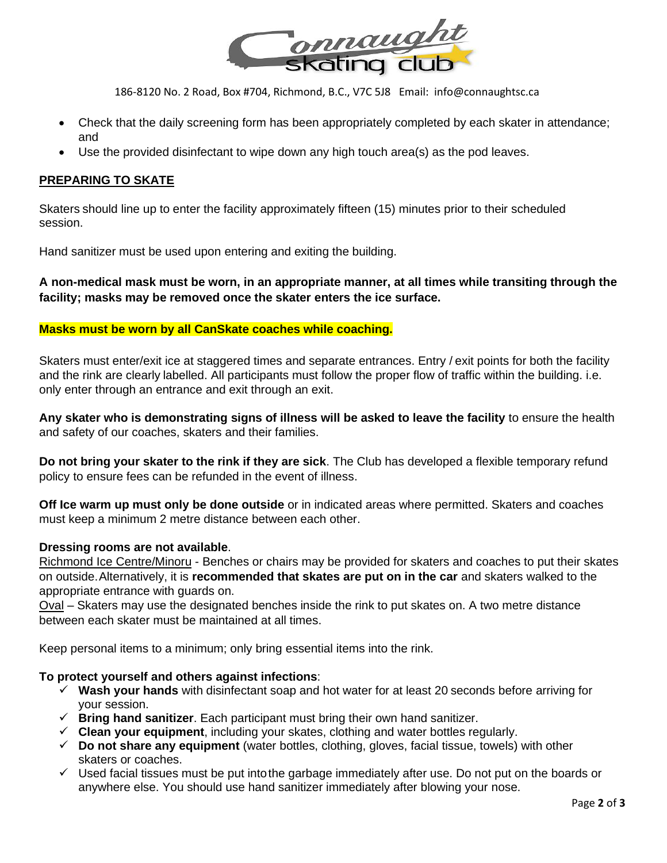

- Check that the daily screening form has been appropriately completed by each skater in attendance; and
- Use the provided disinfectant to wipe down any high touch area(s) as the pod leaves.

## **PREPARING TO SKATE**

Skaters should line up to enter the facility approximately fifteen (15) minutes prior to their scheduled session.

Hand sanitizer must be used upon entering and exiting the building.

**A non-medical mask must be worn, in an appropriate manner, at all times while transiting through the facility; masks may be removed once the skater enters the ice surface.**

## **Masks must be worn by all CanSkate coaches while coaching.**

Skaters must enter/exit ice at staggered times and separate entrances. Entry / exit points for both the facility and the rink are clearly labelled. All participants must follow the proper flow of traffic within the building. i.e. only enter through an entrance and exit through an exit.

**Any skater who is demonstrating signs of illness will be asked to leave the facility** to ensure the health and safety of our coaches, skaters and their families.

**Do not bring your skater to the rink if they are sick**. The Club has developed a flexible temporary refund policy to ensure fees can be refunded in the event of illness.

**Off Ice warm up must only be done outside** or in indicated areas where permitted. Skaters and coaches must keep a minimum 2 metre distance between each other.

### **Dressing rooms are not available**.

Richmond Ice Centre/Minoru - Benches or chairs may be provided for skaters and coaches to put their skates on outside.Alternatively, it is **recommended that skates are put on in the car** and skaters walked to the appropriate entrance with guards on.

Oval – Skaters may use the designated benches inside the rink to put skates on. A two metre distance between each skater must be maintained at all times.

Keep personal items to a minimum; only bring essential items into the rink.

### **To protect yourself and others against infections**:

- ✓ **Wash your hands** with disinfectant soap and hot water for at least 20 seconds before arriving for your session.
- ✓ **Bring hand sanitizer**. Each participant must bring their own hand sanitizer.
- ✓ **Clean your equipment**, including your skates, clothing and water bottles regularly.
- ✓ **Do not share any equipment** (water bottles, clothing, gloves, facial tissue, towels) with other skaters or coaches.
- $\checkmark$  Used facial tissues must be put into the garbage immediately after use. Do not put on the boards or anywhere else. You should use hand sanitizer immediately after blowing your nose.